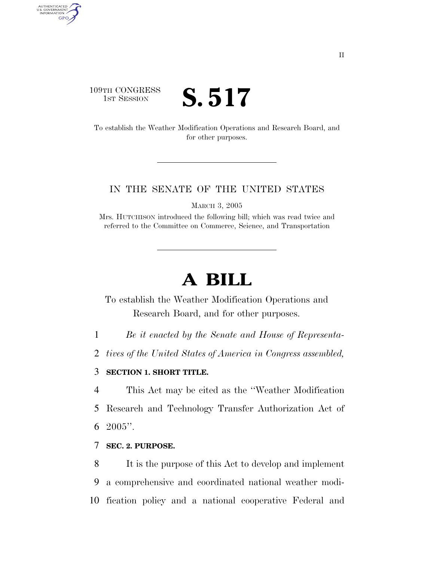### 109TH CONGRESS TH CONGRESS **S. 517**

AUTHENTICATED<br>U.S. GOVERNMENT<br>INFORMATION

**GPO** 

To establish the Weather Modification Operations and Research Board, and for other purposes.

#### IN THE SENATE OF THE UNITED STATES

MARCH 3, 2005

Mrs. HUTCHISON introduced the following bill; which was read twice and referred to the Committee on Commerce, Science, and Transportation

# **A BILL**

To establish the Weather Modification Operations and Research Board, and for other purposes.

1 *Be it enacted by the Senate and House of Representa-*

2 *tives of the United States of America in Congress assembled,* 

#### 3 **SECTION 1. SHORT TITLE.**

4 This Act may be cited as the ''Weather Modification 5 Research and Technology Transfer Authorization Act of 6  $2005$ ".

#### 7 **SEC. 2. PURPOSE.**

8 It is the purpose of this Act to develop and implement 9 a comprehensive and coordinated national weather modi-10 fication policy and a national cooperative Federal and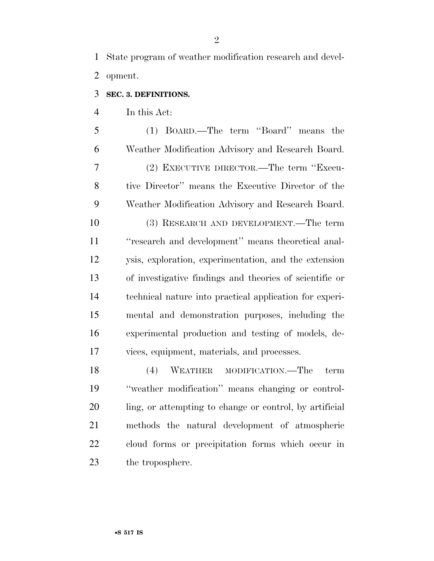State program of weather modification research and devel-opment.

#### **SEC. 3. DEFINITIONS.**

In this Act:

 (1) BOARD.—The term ''Board'' means the Weather Modification Advisory and Research Board. (2) EXECUTIVE DIRECTOR.—The term ''Execu- tive Director'' means the Executive Director of the Weather Modification Advisory and Research Board. (3) RESEARCH AND DEVELOPMENT.—The term ''research and development'' means theoretical anal- ysis, exploration, experimentation, and the extension of investigative findings and theories of scientific or technical nature into practical application for experi- mental and demonstration purposes, including the experimental production and testing of models, de-vices, equipment, materials, and processes.

 (4) WEATHER MODIFICATION.—The term ''weather modification'' means changing or control- ling, or attempting to change or control, by artificial methods the natural development of atmospheric cloud forms or precipitation forms which occur in 23 the troposphere.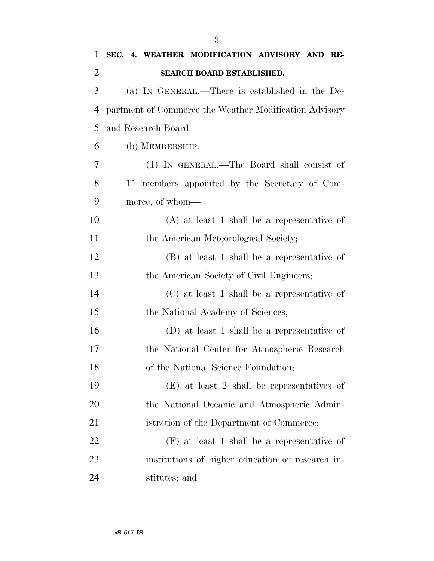| 1              | SEC. 4. WEATHER MODIFICATION ADVISORY AND RE-          |
|----------------|--------------------------------------------------------|
| $\overline{2}$ | SEARCH BOARD ESTABLISHED.                              |
| 3              | (a) IN GENERAL.—There is established in the De-        |
| 4              | partment of Commerce the Weather Modification Advisory |
| 5              | and Research Board.                                    |
| 6              | $(b)$ MEMBERSHIP.—                                     |
| 7              | (1) IN GENERAL.—The Board shall consist of             |
| 8              | 11 members appointed by the Secretary of Com-          |
| 9              | merce, of whom—                                        |
| 10             | $(A)$ at least 1 shall be a representative of          |
| 11             | the American Meteorological Society;                   |
| 12             | (B) at least 1 shall be a representative of            |
| 13             | the American Society of Civil Engineers;               |
| 14             | $(C)$ at least 1 shall be a representative of          |
| 15             | the National Academy of Sciences;                      |
| 16             | (D) at least 1 shall be a representative of            |
| 17             | the National Center for Atmospheric Research           |
| 18             | of the National Science Foundation;                    |
| 19             | $(E)$ at least 2 shall be representatives of           |
| 20             | the National Oceanic and Atmospheric Admin-            |
| 21             | istration of the Department of Commerce;               |
| 22             | $(F)$ at least 1 shall be a representative of          |
| 23             | institutions of higher education or research in-       |
| 24             | stitutes; and                                          |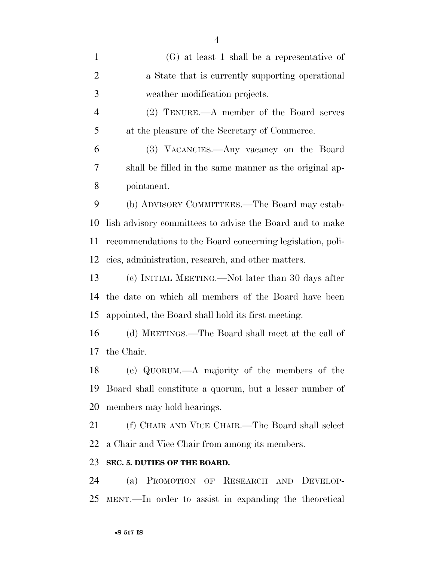(G) at least 1 shall be a representative of a State that is currently supporting operational weather modification projects. (2) TENURE.—A member of the Board serves at the pleasure of the Secretary of Commerce. (3) VACANCIES.—Any vacancy on the Board shall be filled in the same manner as the original ap- pointment. (b) ADVISORY COMMITTEES.—The Board may estab- lish advisory committees to advise the Board and to make recommendations to the Board concerning legislation, poli- cies, administration, research, and other matters. (c) INITIAL MEETING.—Not later than 30 days after the date on which all members of the Board have been appointed, the Board shall hold its first meeting. (d) MEETINGS.—The Board shall meet at the call of the Chair. (e) QUORUM.—A majority of the members of the Board shall constitute a quorum, but a lesser number of members may hold hearings. (f) CHAIR AND VICE CHAIR.—The Board shall select a Chair and Vice Chair from among its members. **SEC. 5. DUTIES OF THE BOARD.**  (a) PROMOTION OF RESEARCH AND DEVELOP-

MENT.—In order to assist in expanding the theoretical

•**S 517 IS**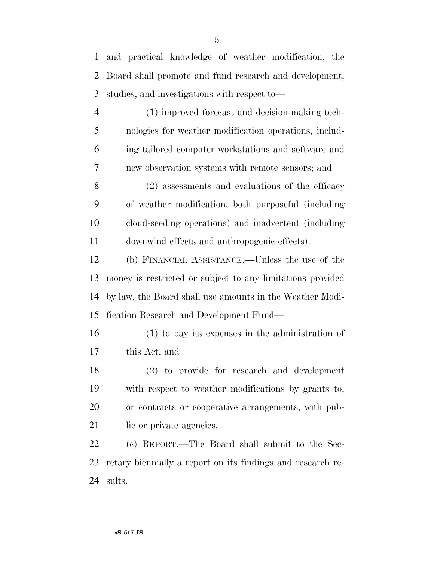and practical knowledge of weather modification, the Board shall promote and fund research and development, studies, and investigations with respect to—

 (1) improved forecast and decision-making tech- nologies for weather modification operations, includ- ing tailored computer workstations and software and new observation systems with remote sensors; and

 (2) assessments and evaluations of the efficacy of weather modification, both purposeful (including cloud-seeding operations) and inadvertent (including downwind effects and anthropogenic effects).

 (b) FINANCIAL ASSISTANCE.—Unless the use of the money is restricted or subject to any limitations provided by law, the Board shall use amounts in the Weather Modi-fication Research and Development Fund—

 (1) to pay its expenses in the administration of this Act, and

 (2) to provide for research and development with respect to weather modifications by grants to, or contracts or cooperative arrangements, with pub-21 lie or private agencies.

 (c) REPORT.—The Board shall submit to the Sec- retary biennially a report on its findings and research re-sults.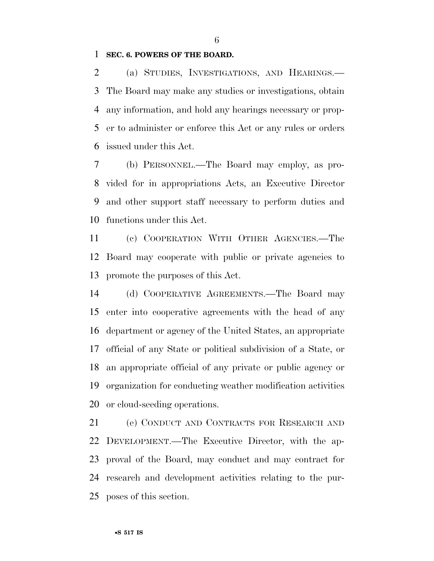#### **SEC. 6. POWERS OF THE BOARD.**

 (a) STUDIES, INVESTIGATIONS, AND HEARINGS.— The Board may make any studies or investigations, obtain any information, and hold any hearings necessary or prop- er to administer or enforce this Act or any rules or orders issued under this Act.

 (b) PERSONNEL.—The Board may employ, as pro- vided for in appropriations Acts, an Executive Director and other support staff necessary to perform duties and functions under this Act.

 (c) COOPERATION WITH OTHER AGENCIES.—The Board may cooperate with public or private agencies to promote the purposes of this Act.

 (d) COOPERATIVE AGREEMENTS.—The Board may enter into cooperative agreements with the head of any department or agency of the United States, an appropriate official of any State or political subdivision of a State, or an appropriate official of any private or public agency or organization for conducting weather modification activities or cloud-seeding operations.

 (e) CONDUCT AND CONTRACTS FOR RESEARCH AND DEVELOPMENT.—The Executive Director, with the ap- proval of the Board, may conduct and may contract for research and development activities relating to the pur-poses of this section.